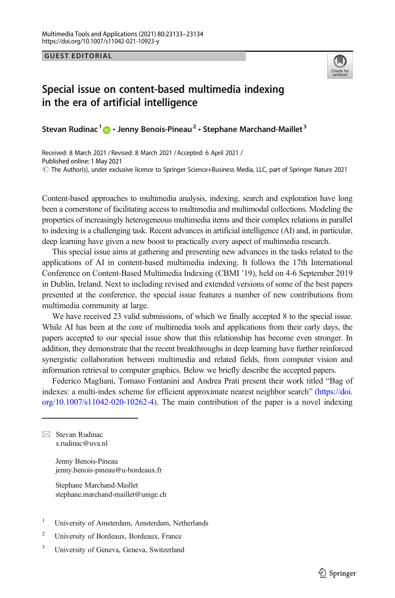GUEST EDITORIAL



## Special issue on content-based multimedia indexing in the era of artificial intelligence

Stevan Rudinac<sup>1</sup>  $\mathbf{D} \cdot$  Jenny Benois-Pineau<sup>2</sup>  $\cdot$  Stephane Marchand-Maillet<sup>3</sup>

Received: 8 March 2021 / Revised: 8 March 2021 / Accepted: 6 April 2021 /  $\circledcirc$  The Author(s), under exclusive licence to Springer Science+Business Media, LLC, part of Springer Nature 2021 Published online: 1 May 2021

Content-based approaches to multimedia analysis, indexing, search and exploration have long been a cornerstone of facilitating access to multimedia and multimodal collections. Modeling the properties of increasingly heterogeneous multimedia items and their complex relations in parallel to indexing is a challenging task. Recent advances in artificial intelligence (AI) and, in particular, deep learning have given a new boost to practically every aspect of multimedia research.

This special issue aims at gathering and presenting new advances in the tasks related to the applications of AI in content-based multimedia indexing. It follows the 17th International Conference on Content-Based Multimedia Indexing (CBMI '19), held on 4-6 September 2019 in Dublin, Ireland. Next to including revised and extended versions of some of the best papers presented at the conference, the special issue features a number of new contributions from multimedia community at large.

We have received 23 valid submissions, of which we finally accepted 8 to the special issue. While AI has been at the core of multimedia tools and applications from their early days, the papers accepted to our special issue show that this relationship has become even stronger. In addition, they demonstrate that the recent breakthroughs in deep learning have further reinforced synergistic collaboration between multimedia and related fields, from computer vision and information retrieval to computer graphics. Below we briefly describe the accepted papers.

Federico Magliani, Tomaso Fontanini and Andrea Prati present their work titled "Bag of indexes: a multi-index scheme for efficient approximate nearest neighbor search" [\(https://doi.](https://doi.org/10.1007/s11042-020-10262-4) [org/10.1007/s11042-020-10262-4](https://doi.org/10.1007/s11042-020-10262-4)). The main contribution of the paper is a novel indexing

 $\boxtimes$  Stevan Rudinac [s.rudinac@uva.nl](mailto:s.rudinac@uva.nl)

> Jenny Benois-Pineau jenny.benois-pineau@u-bordeaux.fr

Stephane Marchand-Maillet stephane.marchand-maillet@unige.ch

- <sup>1</sup> University of Amsterdam, Amsterdam, Netherlands
- <sup>2</sup> University of Bordeaux, Bordeaux, France
- <sup>3</sup> University of Geneva, Geneva, Switzerland